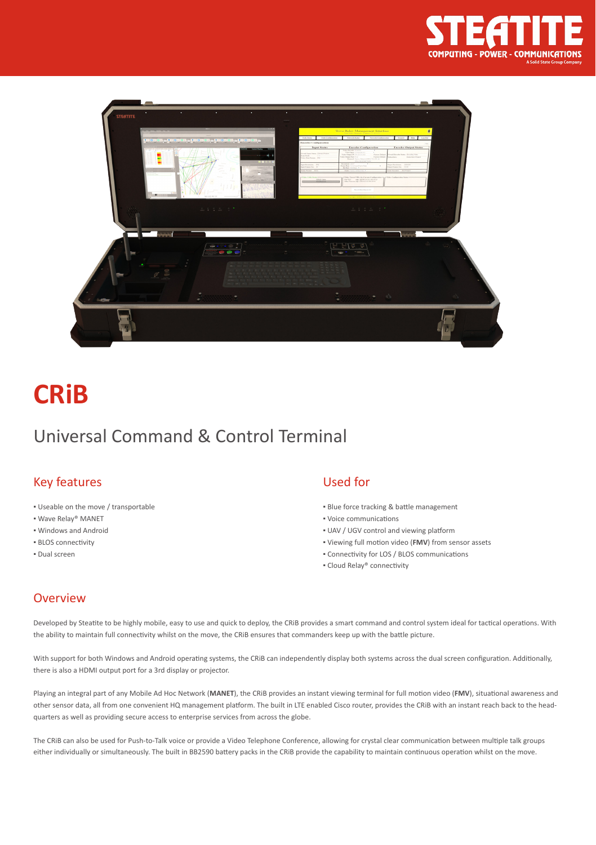



# **CRiB**

### Universal Command & Control Terminal

#### Key features

- Useable on the move / transportable
- Wave Relay® MANET
- Windows and Android
- BLOS connectivity
- Dual screen

#### Used for

- **Blue force tracking & battle management**
- Voice communications
- UAV / UGV control and viewing platform
- Viewing full motion video (**FMV**) from sensor assets
- Connectivity for LOS / BLOS communications
- Cloud Relay® connectivity

#### **Overview**

Developed by Steatite to be highly mobile, easy to use and quick to deploy, the CRiB provides a smart command and control system ideal for tactical operations. With the ability to maintain full connectivity whilst on the move, the CRiB ensures that commanders keep up with the battle picture.

With support for both Windows and Android operating systems, the CRiB can independently display both systems across the dual screen configuration. Additionally, there is also a HDMI output port for a 3rd display or projector.

Playing an integral part of any Mobile Ad Hoc Network (**MANET**), the CRiB provides an instant viewing terminal for full motion video (**FMV**), situational awareness and other sensor data, all from one convenient HQ management platform. The built in LTE enabled Cisco router, provides the CRiB with an instant reach back to the headquarters as well as providing secure access to enterprise services from across the globe.

The CRiB can also be used for Push-to-Talk voice or provide a Video Telephone Conference, allowing for crystal clear communication between multiple talk groups either individually or simultaneously. The built in BB2590 battery packs in the CRiB provide the capability to maintain continuous operation whilst on the move.